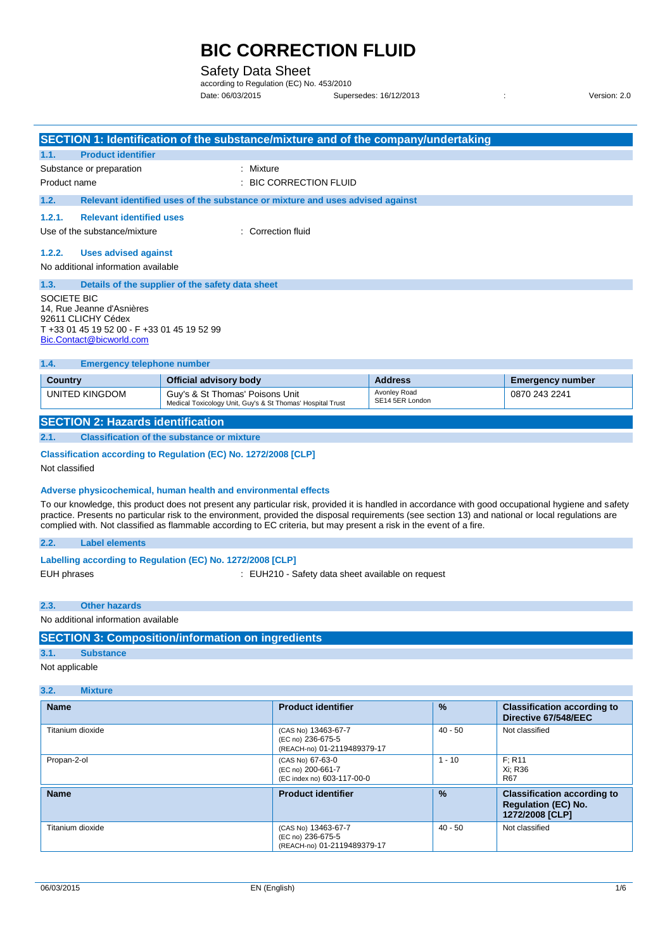### Safety Data Sheet

according to Regulation (EC) No. 453/2010 Date: 06/03/2015 Supersedes: 16/12/2013 : Version: 2.0

|                                                                             | SECTION 1: Identification of the substance/mixture and of the company/undertaking             |                                 |                         |  |  |
|-----------------------------------------------------------------------------|-----------------------------------------------------------------------------------------------|---------------------------------|-------------------------|--|--|
| <b>Product identifier</b><br>1.1.                                           |                                                                                               |                                 |                         |  |  |
| Substance or preparation                                                    | : Mixture                                                                                     |                                 |                         |  |  |
| Product name                                                                | : BIC CORRECTION FLUID                                                                        |                                 |                         |  |  |
| 1.2.                                                                        | Relevant identified uses of the substance or mixture and uses advised against                 |                                 |                         |  |  |
| <b>Relevant identified uses</b><br>1.2.1.                                   |                                                                                               |                                 |                         |  |  |
| Use of the substance/mixture                                                | : Correction fluid                                                                            |                                 |                         |  |  |
| 1.2.2.<br><b>Uses advised against</b>                                       |                                                                                               |                                 |                         |  |  |
| No additional information available                                         |                                                                                               |                                 |                         |  |  |
| 1.3.                                                                        | Details of the supplier of the safety data sheet                                              |                                 |                         |  |  |
| 14, Rue Jeanne d'Asnières<br>92611 CLICHY Cédex<br>Bic.Contact@bicworld.com | SOCIETE BIC<br>T +33 01 45 19 52 00 - F +33 01 45 19 52 99                                    |                                 |                         |  |  |
| 1.4.<br><b>Emergency telephone number</b>                                   |                                                                                               |                                 |                         |  |  |
| <b>Country</b>                                                              | <b>Official advisory body</b>                                                                 | <b>Address</b>                  | <b>Emergency number</b> |  |  |
| UNITED KINGDOM                                                              | Guy's & St Thomas' Poisons Unit<br>Medical Toxicology Unit, Guy's & St Thomas' Hospital Trust | Avonley Road<br>SE14 5ER London | 0870 243 2241           |  |  |
| <b>SECTION 2: Hazards identification</b>                                    |                                                                                               |                                 |                         |  |  |
| 2.1.                                                                        | <b>Classification of the substance or mixture</b>                                             |                                 |                         |  |  |
| Classification according to Regulation (EC) No. 1272/2008 [CLP]             |                                                                                               |                                 |                         |  |  |
| Not classified                                                              |                                                                                               |                                 |                         |  |  |

#### **Adverse physicochemical, human health and environmental effects**

To our knowledge, this product does not present any particular risk, provided it is handled in accordance with good occupational hygiene and safety practice. Presents no particular risk to the environment, provided the disposal requirements (see section 13) and national or local regulations are complied with. Not classified as flammable according to EC criteria, but may present a risk in the event of a fire.

#### **2.2. Label elements**

| Labelling according to Regulation (EC) No. 1272/2008 [CLP] |  |  |  |  |  |  |
|------------------------------------------------------------|--|--|--|--|--|--|
|------------------------------------------------------------|--|--|--|--|--|--|

EUH phrases **EUH210** - Safety data sheet available on request

**2.3. Other hazards**

No additional information available

### **SECTION 3: Composition/information on ingredients**

#### **3.1. Substance**

Not applicable

#### **3.2. Mixture**

| <b>Name</b>      | <b>Product identifier</b>                                               | $\frac{9}{6}$ | <b>Classification according to</b><br>Directive 67/548/EEC                          |
|------------------|-------------------------------------------------------------------------|---------------|-------------------------------------------------------------------------------------|
| Titanium dioxide | (CAS No) 13463-67-7<br>(EC no) 236-675-5<br>(REACH-no) 01-2119489379-17 | $40 - 50$     | Not classified                                                                      |
| Propan-2-ol      | (CAS No) 67-63-0<br>(EC no) 200-661-7<br>(EC index no) 603-117-00-0     | $1 - 10$      | F: R11<br>Xi: R36<br><b>R67</b>                                                     |
| <b>Name</b>      | <b>Product identifier</b>                                               | $\frac{9}{6}$ | <b>Classification according to</b><br><b>Regulation (EC) No.</b><br>1272/2008 [CLP] |
| Titanium dioxide | (CAS No) 13463-67-7<br>(EC no) 236-675-5<br>(REACH-no) 01-2119489379-17 | $40 - 50$     | Not classified                                                                      |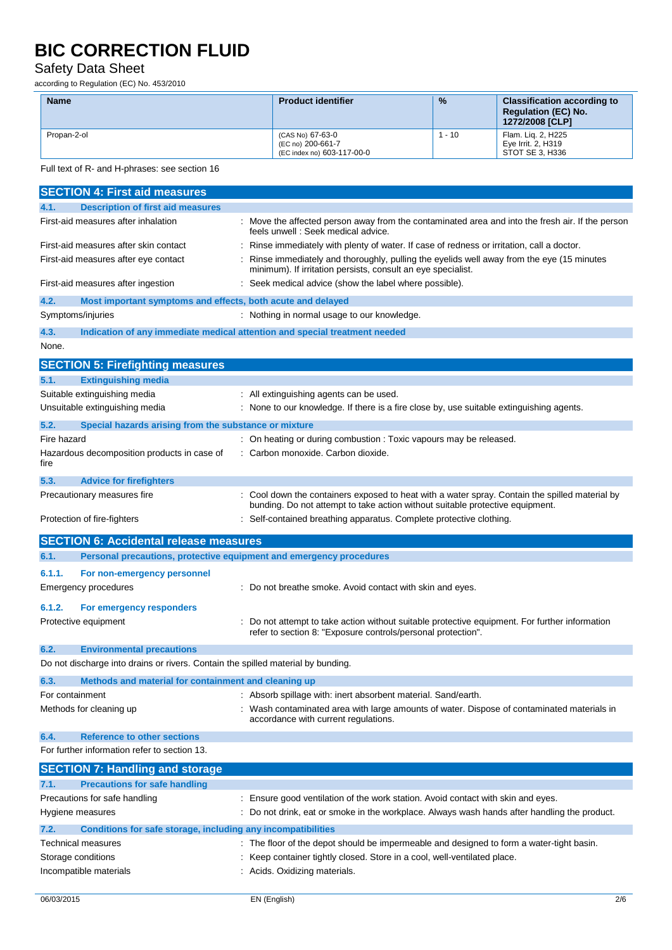# Safety Data Sheet

according to Regulation (EC) No. 453/2010

| <b>Name</b> | <b>Product identifier</b>                                           | $\frac{9}{6}$ | <b>Classification according to</b><br><b>Regulation (EC) No.</b><br>1272/2008 [CLP] |
|-------------|---------------------------------------------------------------------|---------------|-------------------------------------------------------------------------------------|
| Propan-2-ol | (CAS No) 67-63-0<br>(EC no) 200-661-7<br>(EC index no) 603-117-00-0 | $-10$         | Flam. Lig. 2, H225<br>Eye Irrit. 2, H319<br>STOT SE 3. H336                         |

Full text of R- and H-phrases: see section 16

|                 | <b>SECTION 4: First aid measures</b>                                             |                                                                                                                                                                                 |
|-----------------|----------------------------------------------------------------------------------|---------------------------------------------------------------------------------------------------------------------------------------------------------------------------------|
| 4.1.            | <b>Description of first aid measures</b>                                         |                                                                                                                                                                                 |
|                 | First-aid measures after inhalation                                              | : Move the affected person away from the contaminated area and into the fresh air. If the person<br>feels unwell: Seek medical advice.                                          |
|                 | First-aid measures after skin contact                                            | Rinse immediately with plenty of water. If case of redness or irritation, call a doctor.                                                                                        |
|                 | First-aid measures after eye contact                                             | Rinse immediately and thoroughly, pulling the eyelids well away from the eye (15 minutes<br>minimum). If irritation persists, consult an eye specialist.                        |
|                 | First-aid measures after ingestion                                               | Seek medical advice (show the label where possible).                                                                                                                            |
| 4.2.            | Most important symptoms and effects, both acute and delayed                      |                                                                                                                                                                                 |
|                 | Symptoms/injuries                                                                | : Nothing in normal usage to our knowledge.                                                                                                                                     |
| 4.3.            |                                                                                  | Indication of any immediate medical attention and special treatment needed                                                                                                      |
| None.           |                                                                                  |                                                                                                                                                                                 |
|                 | <b>SECTION 5: Firefighting measures</b>                                          |                                                                                                                                                                                 |
| 5.1.            | <b>Extinguishing media</b>                                                       |                                                                                                                                                                                 |
|                 | Suitable extinguishing media                                                     | : All extinguishing agents can be used.                                                                                                                                         |
|                 | Unsuitable extinguishing media                                                   | : None to our knowledge. If there is a fire close by, use suitable extinguishing agents.                                                                                        |
| 5.2.            | Special hazards arising from the substance or mixture                            |                                                                                                                                                                                 |
| Fire hazard     |                                                                                  | : On heating or during combustion : Toxic vapours may be released.                                                                                                              |
| fire            | Hazardous decomposition products in case of                                      | Carbon monoxide. Carbon dioxide.                                                                                                                                                |
| 5.3.            | <b>Advice for firefighters</b>                                                   |                                                                                                                                                                                 |
|                 | Precautionary measures fire                                                      | : Cool down the containers exposed to heat with a water spray. Contain the spilled material by<br>bunding. Do not attempt to take action without suitable protective equipment. |
|                 | Protection of fire-fighters                                                      | : Self-contained breathing apparatus. Complete protective clothing.                                                                                                             |
|                 |                                                                                  |                                                                                                                                                                                 |
|                 | <b>SECTION 6: Accidental release measures</b>                                    |                                                                                                                                                                                 |
| 6.1.            | Personal precautions, protective equipment and emergency procedures              |                                                                                                                                                                                 |
| 6.1.1.          | For non-emergency personnel                                                      |                                                                                                                                                                                 |
|                 | <b>Emergency procedures</b>                                                      | : Do not breathe smoke. Avoid contact with skin and eyes.                                                                                                                       |
| 6.1.2.          | For emergency responders                                                         |                                                                                                                                                                                 |
|                 | Protective equipment                                                             | Do not attempt to take action without suitable protective equipment. For further information<br>refer to section 8: "Exposure controls/personal protection".                    |
| 6.2.            | <b>Environmental precautions</b>                                                 |                                                                                                                                                                                 |
|                 | Do not discharge into drains or rivers. Contain the spilled material by bunding. |                                                                                                                                                                                 |
| 6.3.            | Methods and material for containment and cleaning up                             |                                                                                                                                                                                 |
| For containment |                                                                                  | : Absorb spillage with: inert absorbent material. Sand/earth.                                                                                                                   |
|                 | Methods for cleaning up                                                          | Wash contaminated area with large amounts of water. Dispose of contaminated materials in<br>accordance with current regulations.                                                |
| 6.4.            | <b>Reference to other sections</b>                                               |                                                                                                                                                                                 |
|                 | For further information refer to section 13.                                     |                                                                                                                                                                                 |
|                 | <b>SECTION 7: Handling and storage</b>                                           |                                                                                                                                                                                 |
| 7.1.            | <b>Precautions for safe handling</b>                                             |                                                                                                                                                                                 |
|                 | Precautions for safe handling                                                    | Ensure good ventilation of the work station. Avoid contact with skin and eyes.                                                                                                  |
|                 | Hygiene measures                                                                 | Do not drink, eat or smoke in the workplace. Always wash hands after handling the product.                                                                                      |
| 7.2.            | Conditions for safe storage, including any incompatibilities                     |                                                                                                                                                                                 |
|                 | Technical measures                                                               | : The floor of the depot should be impermeable and designed to form a water-tight basin.                                                                                        |
|                 | Storage conditions<br>Incompatible materials                                     | Keep container tightly closed. Store in a cool, well-ventilated place.<br>Acids. Oxidizing materials.                                                                           |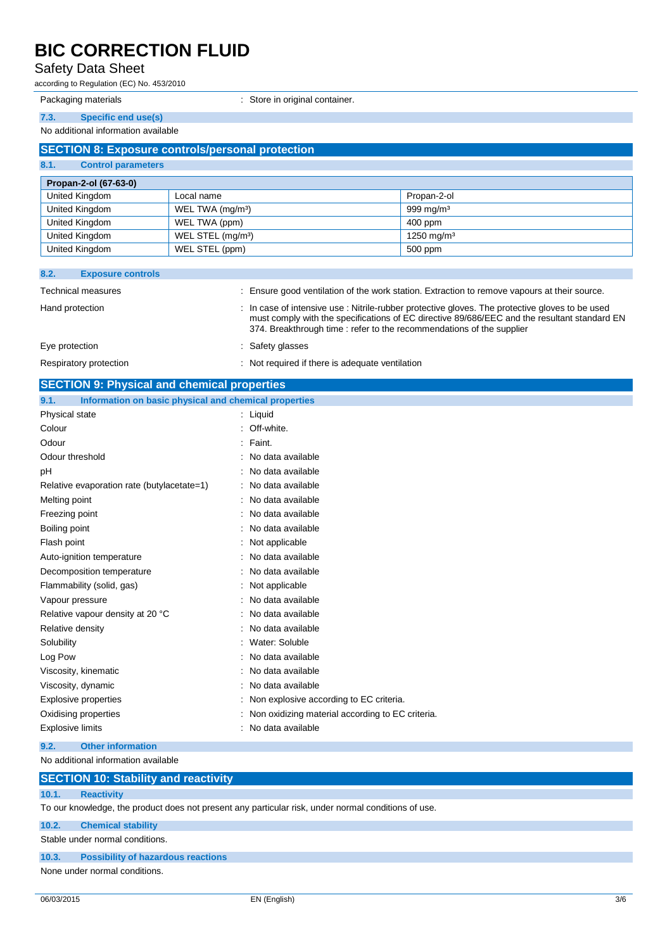# Safety Data Sheet

according to Regulation (EC) No. 453/2010

Packaging materials **Exercise 2 Store in original container.** Store in original container.

#### **7.3. Specific end use(s)**

No additional information available

| <b>SECTION 8: Exposure controls/personal protection</b> |                               |                        |  |  |
|---------------------------------------------------------|-------------------------------|------------------------|--|--|
| 8.1.<br><b>Control parameters</b>                       |                               |                        |  |  |
| Propan-2-ol (67-63-0)                                   |                               |                        |  |  |
| United Kingdom                                          | Local name                    | Propan-2-ol            |  |  |
| United Kingdom                                          | WEL TWA (mg/m <sup>3</sup> )  | 999 mg/m $3$           |  |  |
| United Kingdom                                          | WEL TWA (ppm)                 | $400$ ppm              |  |  |
| United Kingdom                                          | WEL STEL (mg/m <sup>3</sup> ) | 1250 mg/m <sup>3</sup> |  |  |
| United Kingdom                                          | WEL STEL (ppm)                | 500 ppm                |  |  |

| 8.2.<br><b>Exposure controls</b> |                                                                                                                                                                                                                                                                        |
|----------------------------------|------------------------------------------------------------------------------------------------------------------------------------------------------------------------------------------------------------------------------------------------------------------------|
| <b>Technical measures</b>        | : Ensure good ventilation of the work station. Extraction to remove vapours at their source.                                                                                                                                                                           |
| Hand protection                  | : In case of intensive use: Nitrile-rubber protective gloves. The protective gloves to be used<br>must comply with the specifications of EC directive 89/686/EEC and the resultant standard EN<br>374. Breakthrough time: refer to the recommendations of the supplier |
| Eye protection                   | : Safety glasses                                                                                                                                                                                                                                                       |
| Respiratory protection           | : Not required if there is adequate ventilation                                                                                                                                                                                                                        |

| <b>SECTION 9: Physical and chemical properties</b>            |                                                  |  |
|---------------------------------------------------------------|--------------------------------------------------|--|
| Information on basic physical and chemical properties<br>9.1. |                                                  |  |
| Physical state                                                | : Liquid                                         |  |
| Colour                                                        | Off-white.                                       |  |
| Odour                                                         | : Faint.                                         |  |
| Odour threshold                                               | No data available                                |  |
| pH                                                            | No data available                                |  |
| Relative evaporation rate (butylacetate=1)                    | No data available                                |  |
| Melting point                                                 | No data available                                |  |
| Freezing point                                                | No data available                                |  |
| Boiling point                                                 | No data available                                |  |
| Flash point                                                   | Not applicable                                   |  |
| Auto-ignition temperature                                     | No data available                                |  |
| Decomposition temperature                                     | No data available                                |  |
| Flammability (solid, gas)                                     | Not applicable                                   |  |
| Vapour pressure                                               | No data available                                |  |
| Relative vapour density at 20 °C                              | No data available                                |  |
| Relative density                                              | No data available                                |  |
| Solubility                                                    | Water: Soluble                                   |  |
| Log Pow                                                       | No data available                                |  |
| Viscosity, kinematic                                          | No data available                                |  |
| Viscosity, dynamic                                            | : No data available                              |  |
| <b>Explosive properties</b>                                   | : Non explosive according to EC criteria.        |  |
| Oxidising properties                                          | Non oxidizing material according to EC criteria. |  |
| <b>Explosive limits</b>                                       | No data available                                |  |
|                                                               |                                                  |  |

**9.2. Other information**

No additional information available

|       | <b>SECTION 10: Stability and reactivity</b>                                                         |
|-------|-----------------------------------------------------------------------------------------------------|
| 10.1. | <b>Reactivity</b>                                                                                   |
|       | To our knowledge, the product does not present any particular risk, under normal conditions of use. |
| 10.2. | <b>Chemical stability</b>                                                                           |
|       | Stable under normal conditions.                                                                     |
| 10.3. | <b>Possibility of hazardous reactions</b>                                                           |

None under normal conditions.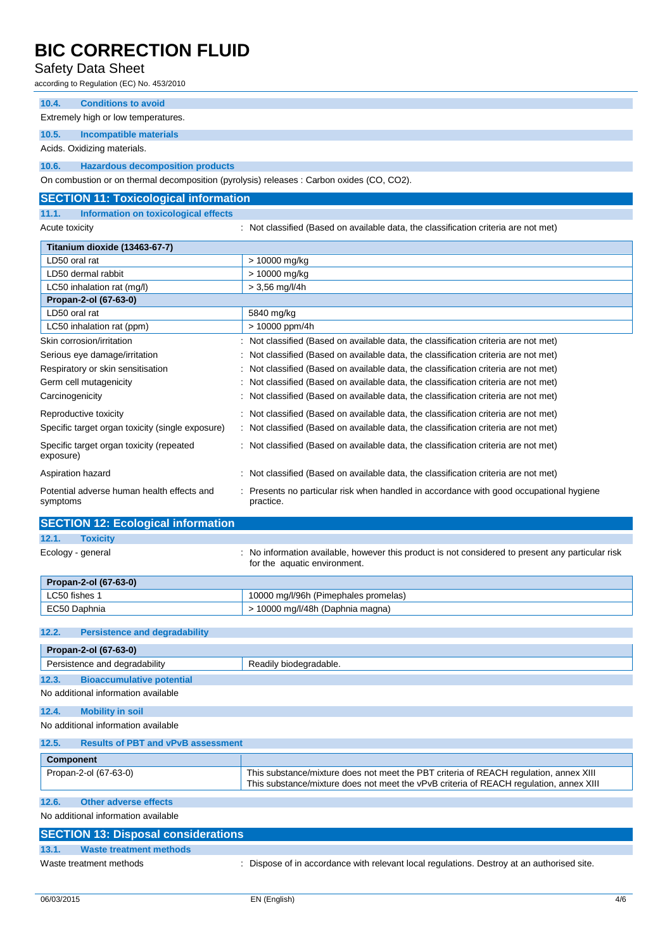## Safety Data Sheet

according to Regulation (EC) No. 453/2010

**10.4. Conditions to avoid**

Extremely high or low temperatures.

**10.5. Incompatible materials**

Acids. Oxidizing materials.

**10.6. Hazardous decomposition products**

On combustion or on thermal decomposition (pyrolysis) releases : Carbon oxides (CO, CO2).

| <b>SECTION 11: Toxicological information</b>           |                                                                                                      |  |  |  |
|--------------------------------------------------------|------------------------------------------------------------------------------------------------------|--|--|--|
| 11.1.<br>Information on toxicological effects          |                                                                                                      |  |  |  |
| Acute toxicity                                         | : Not classified (Based on available data, the classification criteria are not met)                  |  |  |  |
| Titanium dioxide (13463-67-7)                          |                                                                                                      |  |  |  |
| LD50 oral rat                                          | > 10000 mg/kg                                                                                        |  |  |  |
| LD50 dermal rabbit                                     | > 10000 mg/kg                                                                                        |  |  |  |
| LC50 inhalation rat (mg/l)                             | $> 3,56$ mg/l/4h                                                                                     |  |  |  |
| Propan-2-ol (67-63-0)                                  |                                                                                                      |  |  |  |
| LD50 oral rat                                          | 5840 mg/kg                                                                                           |  |  |  |
| LC50 inhalation rat (ppm)                              | > 10000 ppm/4h                                                                                       |  |  |  |
| Skin corrosion/irritation                              | : Not classified (Based on available data, the classification criteria are not met)                  |  |  |  |
| Serious eye damage/irritation                          | : Not classified (Based on available data, the classification criteria are not met)                  |  |  |  |
| Respiratory or skin sensitisation                      | : Not classified (Based on available data, the classification criteria are not met)                  |  |  |  |
| Germ cell mutagenicity                                 | : Not classified (Based on available data, the classification criteria are not met)                  |  |  |  |
| Carcinogenicity                                        | : Not classified (Based on available data, the classification criteria are not met)                  |  |  |  |
| Reproductive toxicity                                  | : Not classified (Based on available data, the classification criteria are not met)                  |  |  |  |
| Specific target organ toxicity (single exposure)       | : Not classified (Based on available data, the classification criteria are not met)                  |  |  |  |
| Specific target organ toxicity (repeated<br>exposure)  | : Not classified (Based on available data, the classification criteria are not met)                  |  |  |  |
| Aspiration hazard                                      | : Not classified (Based on available data, the classification criteria are not met)                  |  |  |  |
| Potential adverse human health effects and<br>symptoms | : Presents no particular risk when handled in accordance with good occupational hygiene<br>practice. |  |  |  |

### **SECTION 12: Ecological information**

## **12.1. Toxicity**

Ecology - general **interpretatal** : No information available, however this product is not considered to present any particular risk for the aquatic environment.

| Propan-2-ol (67-63-0) |                                      |  |
|-----------------------|--------------------------------------|--|
| LC50 fishes           | 10000 mg/l/96h (Pimephales promelas) |  |
| EC50 Daphnia          | 10000 mg/l/48h (Daphnia magna)       |  |

#### **12.2. Persistence and degradability**

| Propan-2-ol (67-63-0)                              |                                                                                                                                                                                 |  |
|----------------------------------------------------|---------------------------------------------------------------------------------------------------------------------------------------------------------------------------------|--|
| Persistence and degradability                      | Readily biodegradable.                                                                                                                                                          |  |
| 12.3.<br><b>Bioaccumulative potential</b>          |                                                                                                                                                                                 |  |
| No additional information available                |                                                                                                                                                                                 |  |
| 12.4.<br><b>Mobility in soil</b>                   |                                                                                                                                                                                 |  |
| No additional information available                |                                                                                                                                                                                 |  |
| 12.5.<br><b>Results of PBT and vPvB assessment</b> |                                                                                                                                                                                 |  |
| <b>Component</b>                                   |                                                                                                                                                                                 |  |
| Propan-2-ol (67-63-0)                              | This substance/mixture does not meet the PBT criteria of REACH regulation, annex XIII<br>This substance/mixture does not meet the vPvB criteria of REACH regulation, annex XIII |  |

#### **12.6. Other adverse effects**

No additional information available

| <b>SECTION 13: Disposal considerations</b> |                         |                                                                                          |  |  |  |
|--------------------------------------------|-------------------------|------------------------------------------------------------------------------------------|--|--|--|
| 13.1.                                      | Waste treatment methods |                                                                                          |  |  |  |
| Waste treatment methods                    |                         | Dispose of in accordance with relevant local regulations. Destroy at an authorised site. |  |  |  |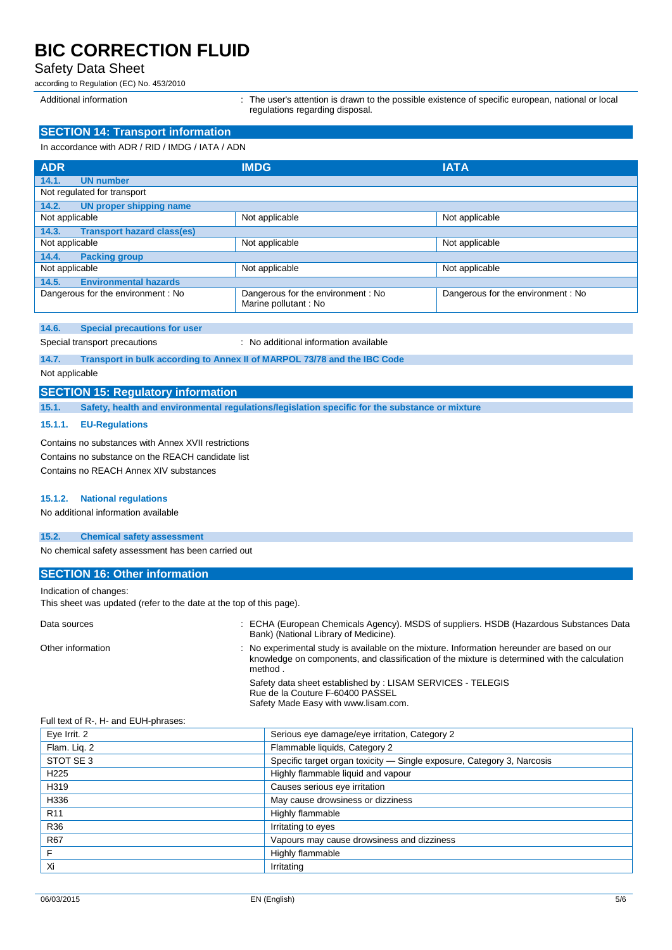### Safety Data Sheet

according to Regulation (EC) No. 453/2010

Additional information : The user's attention is drawn to the possible existence of specific european, national or local regulations regarding disposal.

# **SECTION 14: Transport information**

In accordance with ADR / RID / IMDG / IATA / ADN

| <b>ADR</b>                                   | <b>IMDG</b>                                               | <b>IATA</b>                       |  |  |  |
|----------------------------------------------|-----------------------------------------------------------|-----------------------------------|--|--|--|
| 14.1.<br><b>UN number</b>                    |                                                           |                                   |  |  |  |
| Not regulated for transport                  |                                                           |                                   |  |  |  |
| 14.2.<br><b>UN proper shipping name</b>      |                                                           |                                   |  |  |  |
| Not applicable                               | Not applicable                                            | Not applicable                    |  |  |  |
| <b>Transport hazard class(es)</b><br>14.3.   |                                                           |                                   |  |  |  |
| Not applicable                               | Not applicable                                            | Not applicable                    |  |  |  |
| 14.4.<br><b>Packing group</b>                |                                                           |                                   |  |  |  |
| Not applicable                               | Not applicable                                            | Not applicable                    |  |  |  |
| <b>Environmental hazards</b><br>14.5.        |                                                           |                                   |  |  |  |
| Dangerous for the environment: No            | Dangerous for the environment: No<br>Marine pollutant: No | Dangerous for the environment: No |  |  |  |
| 14.6.<br><b>Special precautions for user</b> |                                                           |                                   |  |  |  |

Special transport precautions : No additional information available

**14.7. Transport in bulk according to Annex II of MARPOL 73/78 and the IBC Code**

#### Not applicable

#### **SECTION 15: Regulatory information**

**15.1. Safety, health and environmental regulations/legislation specific for the substance or mixture**

#### **15.1.1. EU-Regulations**

Contains no substances with Annex XVII restrictions Contains no substance on the REACH candidate list Contains no REACH Annex XIV substances

#### **15.1.2. National regulations**

No additional information available

### **15.2. Chemical safety assessment**

No chemical safety assessment has been carried out

#### **SECTION 16: Other information**

Indication of changes:

This sheet was updated (refer to the date at the top of this page).

| Data sources      | : ECHA (European Chemicals Agency). MSDS of suppliers. HSDB (Hazardous Substances Data<br>Bank) (National Library of Medicine).                                                                         |
|-------------------|---------------------------------------------------------------------------------------------------------------------------------------------------------------------------------------------------------|
| Other information | : No experimental study is available on the mixture. Information hereunder are based on our<br>knowledge on components, and classification of the mixture is determined with the calculation<br>method. |
|                   | Safety data sheet established by: LISAM SERVICES - TELEGIS<br>Rue de la Couture F-60400 PASSEL<br>Safety Made Easy with www.lisam.com.                                                                  |

#### Full text of R-, H- and EUH-phrases:

| Serious eye damage/eye irritation, Category 2                          |  |  |  |  |
|------------------------------------------------------------------------|--|--|--|--|
| Flammable liquids, Category 2                                          |  |  |  |  |
| Specific target organ toxicity - Single exposure, Category 3, Narcosis |  |  |  |  |
| Highly flammable liquid and vapour                                     |  |  |  |  |
| Causes serious eye irritation                                          |  |  |  |  |
| May cause drowsiness or dizziness                                      |  |  |  |  |
| Highly flammable                                                       |  |  |  |  |
| Irritating to eyes                                                     |  |  |  |  |
| Vapours may cause drowsiness and dizziness                             |  |  |  |  |
| Highly flammable                                                       |  |  |  |  |
| Irritating                                                             |  |  |  |  |
|                                                                        |  |  |  |  |